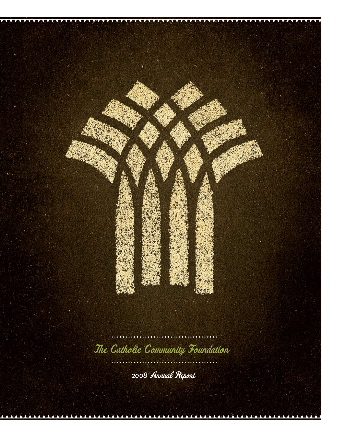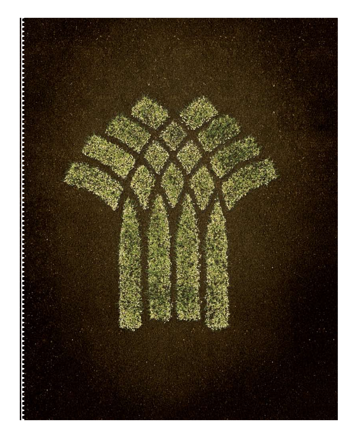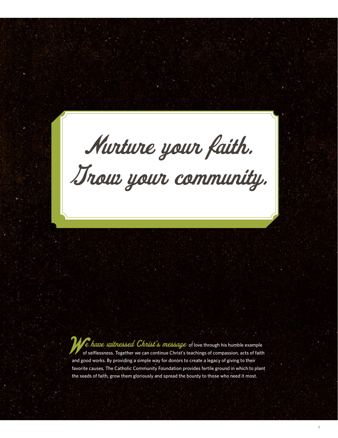Nurture your faith.

Grow your community.

Chave witnessed Christ's message of love through his humble example of selflessness. Together we can continue Christ's teachings of compassion, acts of faith of selflessness. Together we can continue Christ's teachings of compassion, acts of faith and good works. By providing a simple way for donors to create a legacy of giving to their favorite causes, The Catholic Community Foundation provides fertile ground in which to plant the seeds of faith, grow them gloriously and spread the bounty to those who need it most.

1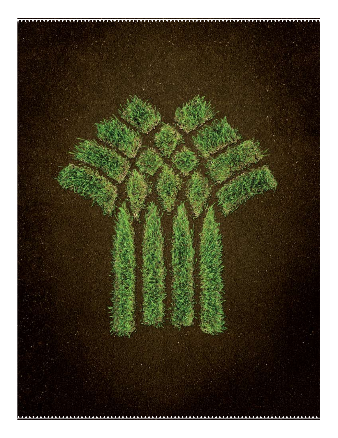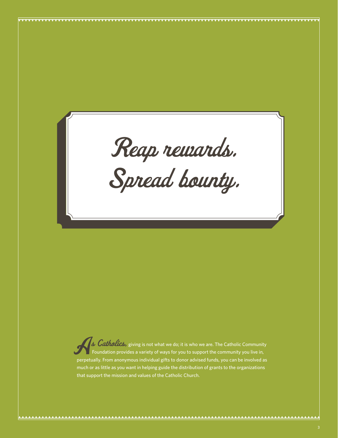

**S** Catholics, giving is not what we do; it is who we are. The Catholic Community Foundation provides a variety of ways for you to support the community you live in, **A Catholici**, giving is not what we do; it is who we are. The Catholic Community<br>Foundation provides a variety of ways for you to support the community you live in,<br>perpetually. From anonymous individual gifts to donor ad much or as little as you want in helping guide the distribution of grants to the organizations that support the mission and values of the Catholic Church.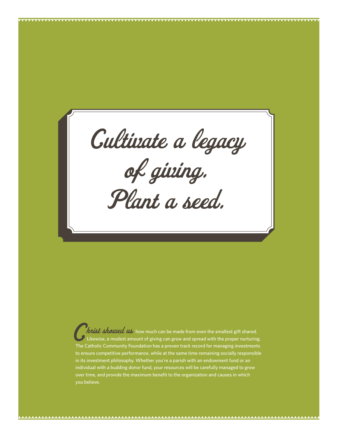Cultivate a legacy of giving.

Plant a seed.

hrist showed us how much can be made from even the smallest gift shared. Likewise, a modest amount of giving can grow and spread with the proper nurturing. **Consult of the Catholic Community** Foundation has a proven track record for managing investments<br>The Catholic Community Foundation has a proven track record for managing investments to ensure competitive performance, while at the same time remaining socially responsible in its investment philosophy. Whether you're a parish with an endowment fund or an individual with a budding donor fund, your resources will be carefully managed to grow over time, and provide the maximum benefit to the organization and causes in which you believe.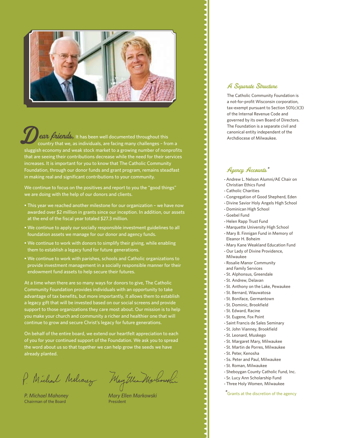

ear *friends*, It has been well documented throughout this country that we, as individuals, are facing many challenges – from a sluggish economy and weak stock market to a growing number of nonprofits that are seeing their contributions decrease while the need for their services increases. It is important for you to know that The Catholic Community Foundation, through our donor funds and grant program, remains steadfast in making real and significant contributions to your community.  $\boldsymbol{\mathcal{D}}$ 

We continue to focus on the positives and report to you the "good things" we are doing with the help of our donors and clients.

- This year we reached another milestone for our organization we have now awarded over \$2 million in grants since our inception. In addition, our assets at the end of the fiscal year totaled \$27.3 million.
- We continue to apply our socially responsible investment guidelines to all foundation assets we manage for our donor and agency funds.
- We continue to work with donors to simplify their giving, while enabling them to establish a legacy fund for future generations.
- We continue to work with parishes, schools and Catholic organizations to provide investment management in a socially responsible manner for their endowment fund assets to help secure their futures.

At a time when there are so many ways for donors to give, The Catholic Community Foundation provides individuals with an opportunity to take advantage of tax benefits, but more importantly, it allows them to establish a legacy gift that will be invested based on our social screens and provide support to those organizations they care most about. Our mission is to help you make your church and community a richer and healthier one that will continue to grow and secure Christ's legacy for future generations.

On behalf of the entire board, we extend our heartfelt appreciation to each of you for your continued support of the Foundation. We ask you to spread the word about us so that together we can help grow the seeds we have already planted.

Chairman of the Board **President** 

P. Michael Molionez May Ellen Marcowski

P. Michael Mahoney Mary Ellen Markowski

#### A Separate Structure

The Catholic Community Foundation is a not-for-profit Wisconsin corporation, tax-exempt pursuant to Section 501(c)(3) of the Internal Revenue Code and governed by its own Board of Directors. The Foundation is a separate civil and canonical entity independent of the Archdiocese of Milwaukee.

#### Agency Accounts\*

- Andrew L. Nelson Alumni/AE Chair on Christian Ethics Fund
- Catholic Charities
- Congregation of Good Shepherd, Eden
- Divine Savior Holy Angels High School
- Dominican High School
- Goebel Fund

i a contra a como a como de con el como de como de como de como de como de como de como de como de como de com

- Helen Rapp Trust Fund
- Marquette University High School • Mary B. Finnigan Fund in Memory of
- Eleanor H. Boheim
- Mary Kane Weakland Education Fund
- Our Lady of Divine Providence,
- Milwaukee
- Rosalie Manor Community and Family Services
- St. Alphonsus, Greendale
- St. Andrew, Delavan
- St. Anthony on the Lake, Pewaukee
- St. Bernard, Wauwatosa
- St. Boniface, Germantown
- St. Dominic, Brookfield
- St. Edward, Racine
- St. Eugene, Fox Point
- Saint Francis de Sales Seminary • St. John Vianney, Brookfield
- 
- St. Leonard, Muskego
- St. Margaret Mary, Milwaukee
- St. Martin de Porres, Milwaukee
- St. Peter, Kenosha
- Ss. Peter and Paul, Milwaukee
- St. Roman, Milwaukee
- Sheboygan County Catholic Fund, Inc.
- Sr. Lucy Ann Scholarship Fund
- Three Holy Women, Milwaukee

\*Grants at the discretion of the agency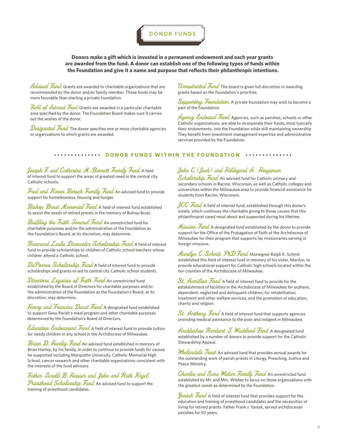#### **DONOR FUNDS**

#### **Donors make a gift which is invested in a permanent endowment and each year grants are awarded from the fund. A donor can establish one of the following types of funds within the Foundation and give it a name and purpose that reflects their philanthropic intentions.**

Advised Fund Grants are awarded to charitable organizations that are recommended by the donor and/or family member. These funds may be more favorable than starting a private foundation.

Field of Interest Fund Grants are awarded in a particular charitable area specified by the donor. The Foundation Board makes sure it carries out the wishes of the donor.

 $\mathcal D$ es*ignated*  $\mathcal F$ *und* The donor specifies one or more charitable agencies or organizations to which grants are awarded.

Unrestricted Fund The board is given full discretion in awarding grants based on the Foundation's priorities.

Supporting Foundation A private foundation may wish to become a part of the Foundation.

Agency Endouved Fund Agencies, such as parishes, schools or other Catholic organizations, are able to incorporate their funds, most typically their endowments, into the Foundation while still maintaining ownership. They benefit from investment management expertise and administrative services provided by the Foundation.

#### **D onor funds within the foundation** . . . . . . . . . . . . . . .

Joseph F. and Catherine M. Bennett Family Fund A field of interest fund to support the areas of greatest need in the central city Catholic schools.

Fred and Karen Bersch Family Fund An advised fund to provide support for homelessness, housing and hunger.

 ${\mathcal{B}}$ ishop  ${\mathcal{B}}$ rust Memorial Fund A field of interest fund established to assist the needs of retired priests in the memory of Bishop Brust.

Building the Faith Jeneral Fund An unrestricted fund for charitable purposes and/or the administration of the Foundation as the Foundation's Board, at its discretion, may determine.

Reverend Leslie Darneider Scholarship Fund A field of interest fund to provide scholarships to children of Catholic school teachers whose children attend a Catholic school.

DePorres Scholarship Fund A field of interest fund to provide scholarships and grants-in-aid to central city Catholic school students.

Directors Legacies of Faith Fund An unrestricted fund established by the Board of Directors for charitable purposes and/or the administration of the Foundation as the Foundation's Board, at its discretion, may determine.

Henry and Francine Ducat Fund A designated fund established to support Gesu Parish's meal program and other charitable purposes determined by the Foundation's Board of Directors.

Education Endouument Fund A field of interest fund to provide tuition for needy children in any school in the Archdiocese of Milwaukee.

 $\mathcal{B}$ nian  $\mathcal{D}$ . Hanley Fund An advised fund established in memory of Brian Hanley, by his family, in order to continue to provide funds for causes he supported including Marquette University, Catholic Memorial High School, cancer research and other charitable organizations consistent with the interests of the fund advisors.

Father Gerald B. Hauser and John and Ruth Kegel Priesthood Scholarship Fund An advised fund to support the training of priesthood candidates.

## John C. (Jack) and Hildegard A. Heegeman

Scholarship Fund An advised fund for Catholic primary and secondary schools in Racine, Wisconsin, as well as Catholic colleges and universities within the Milwaukee area to provide financial assistance for students from Racine, Wisconsin.

 $\mathcal{GGC}$  Fund A field of interest fund, established through this donor's estate, which continues the charitable giving to those causes that this philanthropist cared most about and supported during his lifetime.

*Mission Fund* A designated fund established by the donor to provide support for the Office of the Propagation of Faith of the Archdiocese of Milwaukee for their program that supports lay missionaries serving in foreign missions.

Marilyn C. Schmit, PhD Fund Monsignor Ralph K. Schmit established this field of interest fund in memory of his sister, Marilyn, to provide educational support for Catholic high schools located within the ten counties of the Archdiocese of Milwaukee.

St. Aemilian Fund A field of interest fund to provide for the establishment of facilities in the Archdiocese of Milwaukee for orphans, dependent, neglected and delinquent children; for rehabilitation, treatment and other welfare services, and the promotion of education, charity and religion.

St. Anthony Fund A field of interest fund that supports agencies providing medical assistance to the poor and indigent in Milwaukee.

Archbishop Rembert J. Weakland Fund A designated fund established by a number of donors to provide support for the Catholic Stewardship Appeal.

Whelandale Trust An advised fund that provides annual awards for the outstanding work of parish priests in Liturgy, Preaching, Justice and Peace Ministry.

**Charles and Sara Wieber Family Fund An unrestricted fund** established by Mr. and Mrs. Wieber to focus on those organizations with the greatest needs as determined by the Foundation.

*Yaniak Fund* A field of interest fund that provides support for the education and training of priesthood candidates and the necessities of living for retired priests. Father Frank J. Yaniak, served archdiocesan parishes for 50 years.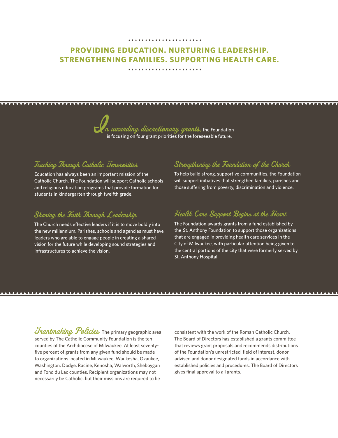## **Providing education. Nurturing leadership. Strengthening families. Supporting health care.**

 $\mathcal{L}_n$  awarding discretionary grants, the Foundation is focusing on four grant priorities for the foreseeable future.

### Teaching Through Catholic Generosities

Education has always been an important mission of the Catholic Church. The Foundation will support Catholic schools and religious education programs that provide formation for students in kindergarten through twelfth grade.

### Sharing the Faith Through Leadership

The Church needs effective leaders if it is to move boldly into the new millennium. Parishes, schools and agencies must have leaders who are able to engage people in creating a shared vision for the future while developing sound strategies and infrastructures to achieve the vision.

## Strengthening the Foundation of the Church

To help build strong, supportive communities, the Foundation will support initiatives that strengthen families, parishes and those suffering from poverty, discrimination and violence.

### Health Care Support Begins at the Heart

The Foundation awards grants from a fund established by the St. Anthony Foundation to support those organizations that are engaged in providing health care services in the City of Milwaukee, with particular attention being given to the central portions of the city that were formerly served by St. Anthony Hospital.

*Jrantmaking Policies* The primary geographic area served by The Catholic Community Foundation is the ten counties of the Archdiocese of Milwaukee. At least seventyfive percent of grants from any given fund should be made to organizations located in Milwaukee, Waukesha, Ozaukee, Washington, Dodge, Racine, Kenosha, Walworth, Sheboygan and Fond du Lac counties. Recipient organizations may not necessarily be Catholic, but their missions are required to be

consistent with the work of the Roman Catholic Church. The Board of Directors has established a grants committee that reviews grant proposals and recommends distributions of the Foundation's unrestricted, field of interest, donor advised and donor designated funds in accordance with established policies and procedures. The Board of Directors gives final approval to all grants.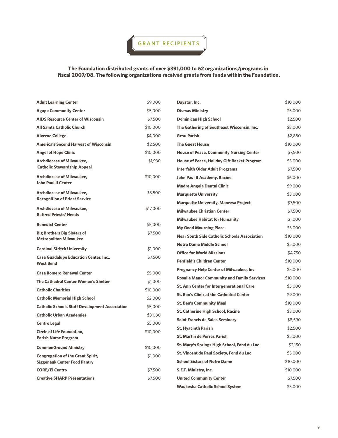

#### **The Foundation distributed grants of over \$391,000 to 62 organizations/programs in fiscal 2007/08. The following organizations received grants from funds within the Foundation.**

| <b>Adult Learning Center</b>                                                             | \$9,000  | Daystar, Inc.                                       | \$10,000 |
|------------------------------------------------------------------------------------------|----------|-----------------------------------------------------|----------|
| <b>Agape Community Center</b>                                                            | \$5,000  | <b>Dismas Ministry</b>                              | \$5,000  |
| <b>AIDS Resource Center of Wisconsin</b>                                                 | \$7,500  | <b>Dominican High School</b>                        | \$2,500  |
| <b>All Saints Catholic Church</b>                                                        | \$10,000 | The Gathering of Southeast Wisconsin, Inc.          | \$8,000  |
| <b>Alverno College</b>                                                                   | \$4,000  | <b>Gesu Parish</b>                                  | \$2,880  |
| <b>America's Second Harvest of Wisconsin</b>                                             | \$2,500  | <b>The Guest House</b>                              | \$10,000 |
| <b>Angel of Hope Clinic</b>                                                              | \$10,000 | <b>House of Peace, Community Nursing Center</b>     | \$7,500  |
| <b>Archdiocese of Milwaukee,</b>                                                         | \$1,930  | <b>House of Peace, Holiday Gift Basket Program</b>  | \$5,000  |
| <b>Catholic Stewardship Appeal</b>                                                       |          | <b>Interfaith Older Adult Programs</b>              | \$7,500  |
| <b>Archdiocese of Milwaukee,</b>                                                         | \$10,000 | John Paul II Academy, Racine                        | \$6,000  |
| <b>John Paul II Center</b>                                                               |          | <b>Madre Angela Dental Clinic</b>                   | \$9,000  |
| <b>Archdiocese of Milwaukee,</b>                                                         | \$3,500  | <b>Marquette University</b>                         | \$3,000  |
| <b>Recognition of Priest Service</b>                                                     |          | <b>Marquette University, Manresa Project</b>        | \$7,500  |
| <b>Archdiocese of Milwaukee,</b><br><b>Retired Priests' Needs</b>                        | \$17,000 | <b>Milwaukee Christian Center</b>                   | \$7,500  |
|                                                                                          |          | <b>Milwaukee Habitat for Humanity</b>               | \$1,000  |
| <b>Benedict Center</b>                                                                   | \$5,000  | <b>My Good Mourning Place</b>                       | \$3,000  |
| <b>Big Brothers Big Sisters of</b><br><b>Metropolitan Milwaukee</b>                      | \$7,500  | <b>Near South Side Catholic Schools Association</b> | \$10,000 |
|                                                                                          |          | <b>Notre Dame Middle School</b>                     | \$5,000  |
| <b>Cardinal Stritch University</b>                                                       | \$1,000  | <b>Office for World Missions</b>                    | \$4,750  |
| <b>Casa Guadalupe Education Center, Inc.,</b><br><b>West Bend</b>                        | \$7,500  | <b>Penfield's Children Center</b>                   | \$10,000 |
| <b>Casa Romero Renewal Center</b>                                                        | \$5,000  | <b>Pregnancy Help Center of Milwaukee, Inc.</b>     | \$5,000  |
| <b>The Cathedral Center Women's Shelter</b>                                              | \$1,000  | <b>Rosalie Manor Community and Family Services</b>  | \$10,000 |
| <b>Catholic Charities</b>                                                                | \$10,000 | <b>St. Ann Center for Intergenerational Care</b>    | \$5,000  |
|                                                                                          |          | <b>St. Ben's Clinic at the Cathedral Center</b>     | \$9,000  |
| <b>Catholic Memorial High School</b>                                                     | \$2,000  | <b>St. Ben's Community Meal</b>                     | \$10,000 |
| <b>Catholic Schools Staff Development Association</b><br><b>Catholic Urban Academies</b> | \$5,000  | <b>St. Catherine High School, Racine</b>            | \$3,000  |
|                                                                                          | \$3,080  | <b>Saint Francis de Sales Seminary</b>              | \$8,590  |
| <b>Centro Legal</b>                                                                      | \$5,000  | <b>St. Hyacinth Parish</b>                          | \$2,500  |
| <b>Circle of Life Foundation,</b><br><b>Parish Nurse Program</b>                         | \$10,000 | <b>St. Martin de Porres Parish</b>                  | \$5,000  |
| <b>CommonGround Ministry</b>                                                             | \$10,000 | St. Mary's Springs High School, Fond du Lac         | \$2,150  |
| <b>Congregation of the Great Spirit,</b>                                                 | \$1,000  | St. Vincent de Paul Society, Fond du Lac            | \$5,000  |
| <b>Siggenauk Center Food Pantry</b>                                                      |          | <b>School Sisters of Notre Dame</b>                 | \$10,000 |
| <b>CORE/El Centro</b>                                                                    | \$7,500  | S.E.T. Ministry, Inc.                               | \$10,000 |
| <b>Creative SHARP Presentations</b>                                                      | \$7,500  | <b>United Community Center</b>                      | \$7,500  |
|                                                                                          |          | <b>Waukesha Catholic School System</b>              | \$5,000  |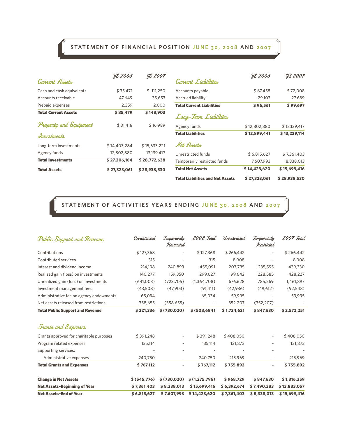## **STATEMENT OF FINANCIAL POSITION JUNE 30, 2008 AND 2007**

| Current Assets              | <b>YE 2008</b> | <b>YE 2007</b> | <b>Current Liabilities</b>      |
|-----------------------------|----------------|----------------|---------------------------------|
| Cash and cash equivalents   | \$35,471       | \$111,250      | Accounts payable                |
| Accounts receivable         | 47.649         | 35,653         | Accrued liability               |
| Prepaid expenses            | 2,359          | 2,000          | <b>Total Current Liabilitie</b> |
| <b>Total Current Assets</b> | \$85,479       | \$148,903      | Long-Term Liabi                 |
| Property and Equipment      | \$31,418       | \$16,989       | Agency funds                    |
| Investments                 |                |                | <b>Total Liabilities</b>        |
| Long-term investments       | \$14,403,284   | \$15,633,221   | Net Assets                      |
| Agency funds                | 12,802,880     | 13,139,417     | Unrestricted funds              |
| <b>Total Investments</b>    | \$27,206,164   | \$28,772,638   | Temporarily restricted          |
| <b>Total Assets</b>         | \$27,323,061   | \$28,938,530   | <b>Total Net Assets</b>         |

| Current Liabilities                     | <b>YE 2008</b> | <b>YE 2007</b> |
|-----------------------------------------|----------------|----------------|
| Accounts payable                        | \$67,458       | \$72,008       |
| <b>Accrued liability</b>                | 29,103         | 27,689         |
| <b>Total Current Liabilities</b>        | \$96,561       | \$99,697       |
| Long-Term Liabilities                   |                |                |
| Agency funds                            | \$12,802,880   | \$13,139,417   |
| <b>Total Liabilities</b>                | \$12,899,441   | \$13,239,114   |
| Net Assets                              |                |                |
| Unrestricted funds                      | \$6,815,627    | \$7,361,403    |
| Temporarily restricted funds            | 7,607,993      | 8,338,013      |
| <b>Total Net Assets</b>                 | \$14,423,620   | \$15,699,416   |
| <b>Total Liabilities and Net Assets</b> | \$27,323,061   | \$28,938,530   |

### **State m ent of Activities Years E ndin g Ju ne 30, 2008 and 2007**

| Public Support and Revenue              | Unnestricted | Temporarily<br>Restricted | 2008 Total    | Unnestricted | Temporarily<br>Restricted | 2007 Total   |
|-----------------------------------------|--------------|---------------------------|---------------|--------------|---------------------------|--------------|
| Contributions                           | \$127,368    |                           | \$127,368     | \$266,442    |                           | \$266,442    |
| Contributed services                    | 315          |                           | 315           | 8,908        |                           | 8,908        |
| Interest and dividend income            | 214,198      | 240,893                   | 455,091       | 203,735      | 235,595                   | 439,330      |
| Realized gain (loss) on investments     | 140,277      | 159,350                   | 299,627       | 199,642      | 228,585                   | 428,227      |
| Unrealized gain (loss) on investments   | (641,003)    | (723, 705)                | (1,364,708)   | 676,628      | 785,269                   | 1,461,897    |
| Investment management fees              | (43,508)     | (47,903)                  | (91, 411)     | (42,936)     | (49, 612)                 | (92, 548)    |
| Administrative fee on agency endowments | 65,034       |                           | 65,034        | 59,995       |                           | 59,995       |
| Net assets released from restrictions   | 358,655      | (358, 655)                |               | 352,207      | (352, 207)                |              |
| <b>Total Public Support and Revenue</b> | \$221,336    | \$(730,020)               | \$ (508, 684) | \$1,724,621  | \$847,630                 | \$2,572,251  |
| Irants and Expenses                     |              |                           |               |              |                           |              |
| Grants approved for charitable purposes | \$391,248    |                           | \$391,248     | \$408,050    |                           | \$408,050    |
| Program related expenses                | 135,114      |                           | 135,114       | 131,873      |                           | 131,873      |
| Supporting services:                    |              |                           |               |              |                           |              |
| Administrative expenses                 | 240,750      |                           | 240,750       | 215,969      |                           | 215,969      |
| <b>Total Grants and Expenses</b>        | \$767,112    | ٠                         | \$767,112     | \$755,892    | ٠                         | \$755,892    |
| <b>Change in Net Assets</b>             | \$ (545,776) | \$(730,020)               | \$(1,275,796) | \$968,729    | \$847,630                 | \$1,816,359  |
| <b>Net Assets-Beginning of Year</b>     | \$7,361,403  | \$8,338,013               | \$15,699,416  | \$6,392,674  | \$7,490,383               | \$13,883,057 |
| <b>Net Assets-End of Year</b>           | \$6,815,627  | \$7,607,993               | \$14,423,620  | \$7,361,403  | \$8,338,013               | \$15,699,416 |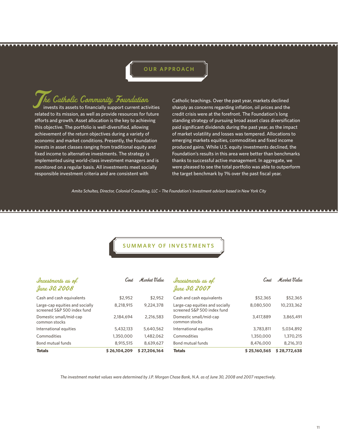#### **O ur App roac h**

# he Catholic Community Foundation T

invests its assets to financially support current activities related to its mission, as well as provide resources for future efforts and growth. Asset allocation is the key to achieving this objective. The portfolio is well-diversified, allowing achievement of the return objectives during a variety of economic and market conditions. Presently, the Foundation invests in asset classes ranging from traditional equity and fixed income to alternative investments. The strategy is implemented using world-class investment managers and is monitored on a regular basis. All investments meet socially responsible investment criteria and are consistent with

Catholic teachings. Over the past year, markets declined sharply as concerns regarding inflation, oil prices and the credit crisis were at the forefront. The Foundation's long standing strategy of pursuing broad asset class diversification paid significant dividends during the past year, as the impact of market volatility and losses was tempered. Allocations to emerging markets equities, commodities and fixed income produced gains. While U.S. equity investments declined, the Foundation's results in this area were better than benchmarks thanks to successful active management. In aggregate, we were pleased to see the total portfolio was able to outperform the target benchmark by 1% over the past fiscal year.

*Amita Schultes, Director, Colonial Consulting, LLC – The Foundation's investment advisor based in New York City*

#### **summ ary of in vestm ents**

| Investments as of<br>June 30, 2008                             | Cost         | Manket, Ualue. | Investments as of<br>June 30, 2007                             | Cost         | Manket, Value |
|----------------------------------------------------------------|--------------|----------------|----------------------------------------------------------------|--------------|---------------|
| Cash and cash equivalents                                      | \$2,952      | \$2,952        | Cash and cash equivalents                                      | \$52,365     | \$52,365      |
| Large-cap equities and socially<br>screened S&P 500 index fund | 8,218,915    | 9,224,378      | Large-cap equities and socially<br>screened S&P 500 index fund | 8,080,500    | 10,233,362    |
| Domestic small/mid-cap<br>common stocks                        | 2.184.694    | 2,216,583      | Domestic small/mid-cap<br>common stocks                        | 3,417,889    | 3,865,491     |
| International equities                                         | 5,432,133    | 5,640,562      | International equities                                         | 3,783,811    | 5,034,892     |
| Commodities                                                    | 1,350,000    | 1,482,062      | Commodities                                                    | 1,350,000    | 1,370,215     |
| Bond mutual funds                                              | 8,915,515    | 8,639,627      | Bond mutual funds                                              | 8,476,000    | 8,216,313     |
| <b>Totals</b>                                                  | \$26,104,209 | \$27,206,164   | <b>Totals</b>                                                  | \$25,160,565 | \$28,772,638  |

*The investment market values were determined by J.P. Morgan Chase Bank, N.A. as of June 30, 2008 and 2007 respectively.*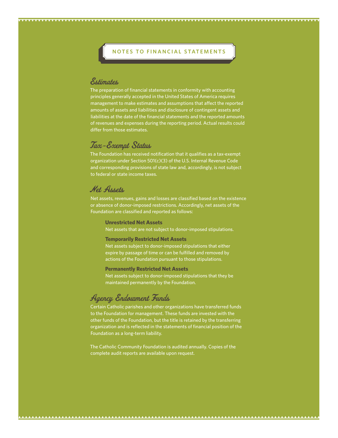#### **N otes to financial state m ents**

#### **Estimates**

The preparation of financial statements in conformity with accounting principles generally accepted in the United States of America requires management to make estimates and assumptions that affect the reported amounts of assets and liabilities and disclosure of contingent assets and liabilities at the date of the financial statements and the reported amounts of revenues and expenses during the reporting period. Actual results could differ from those estimates.

### Tax-Exempt Status

The Foundation has received notification that it qualifies as a tax-exempt organization under Section 501(c)(3) of the U.S. Internal Revenue Code and corresponding provisions of state law and, accordingly, is not subject to federal or state income taxes.

### Net Assets

Net assets, revenues, gains and losses are classified based on the existence or absence of donor-imposed restrictions. Accordingly, net assets of the Foundation are classified and reported as follows:

#### **Unrestricted Net Assets**

Net assets that are not subject to donor-imposed stipulations.

#### **Temporarily Restricted Net Assets**

Net assets subject to donor-imposed stipulations that either expire by passage of time or can be fulfilled and removed by actions of the Foundation pursuant to those stipulations.

#### **Permanently Restricted Net Assets**

Net assets subject to donor-imposed stipulations that they be maintained permanently by the Foundation.

## Agency Endowment Funds

Certain Catholic parishes and other organizations have transferred funds to the Foundation for management. These funds are invested with the other funds of the Foundation, but the title is retained by the transferring organization and is reflected in the statements of financial position of the Foundation as a long-term liability.

The Catholic Community Foundation is audited annually. Copies of the complete audit reports are available upon request.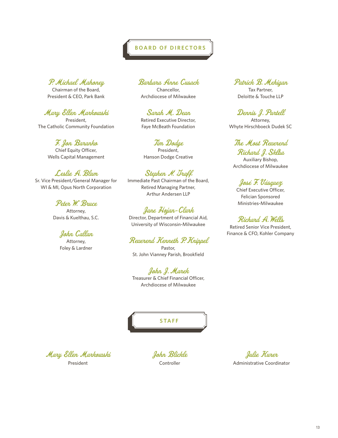#### **BOARD OF DIRECTORS**

P. Michael Mahoney Chairman of the Board,

President & CEO, Park Bank

Mary Ellen Markowski

President, The Catholic Community Foundation

> F. Jon Baranko Chief Equity Officer, Wells Capital Management

Leslie A. Blum Sr. Vice President/General Manager for WI & MI, Opus North Corporation

> Peter W. Bruce Attorney, Davis & Kuelthau, S.C.

> > John Callan Attorney, Foley & Lardner

#### Barbara Anne Cusack

Chancellor, Archdiocese of Milwaukee

## Sarah M. Dean

Retired Executive Director, Faye McBeath Foundation

### Tim Dodge

President, Hanson Dodge Creative

### Stephen N. Graff

Immediate Past Chairman of the Board, Retired Managing Partner, Arthur Andersen LLP

### Jane Hojan-Clark

Director, Department of Financial Aid, University of Wisconsin-Milwaukee

### Reverend Kenneth P. Knippel

Pastor, St. John Vianney Parish, Brookfield

John J. Marek Treasurer & Chief Financial Officer, Archdiocese of Milwaukee

**STAFF** 

Mary Ellen Markowski President

John Blickle Controller

Julie Kurer Administrative Coordinator

Patrick B. Mehigan

Tax Partner, Deloitte & Touche LLP

#### Dennis J. Purtell

Attorney, Whyte Hirschboeck Dudek SC

### The Most Reverend Richard J. Sklba

Auxiliary Bishop, Archdiocese of Milwaukee

### José F. Vásquez

Chief Executive Officer, Felician Sponsored Ministries-Milwaukee

#### Richard A. Wells

Retired Senior Vice President, Finance & CFO, Kohler Company